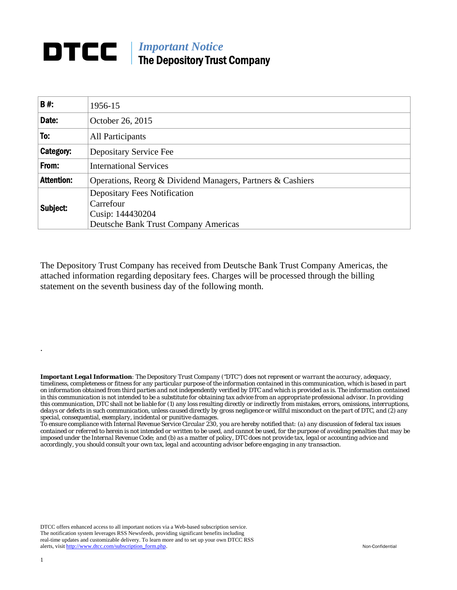## **DTCC** | *Important Notice* The Depository Trust Company

| <b>B#:</b>        | 1956-15                                                    |  |  |  |  |  |
|-------------------|------------------------------------------------------------|--|--|--|--|--|
| Date:             | October 26, 2015                                           |  |  |  |  |  |
| To:               | All Participants                                           |  |  |  |  |  |
| Category:         | Depositary Service Fee                                     |  |  |  |  |  |
| From:             | <b>International Services</b>                              |  |  |  |  |  |
| <b>Attention:</b> | Operations, Reorg & Dividend Managers, Partners & Cashiers |  |  |  |  |  |
| Subject:          | <b>Depositary Fees Notification</b><br>Carrefour           |  |  |  |  |  |
|                   | Cusip: 144430204                                           |  |  |  |  |  |
|                   | <b>Deutsche Bank Trust Company Americas</b>                |  |  |  |  |  |

The Depository Trust Company has received from Deutsche Bank Trust Company Americas, the attached information regarding depositary fees. Charges will be processed through the billing statement on the seventh business day of the following month.

*Important Legal Information: The Depository Trust Company ("DTC") does not represent or warrant the accuracy, adequacy, timeliness, completeness or fitness for any particular purpose of the information contained in this communication, which is based in part on information obtained from third parties and not independently verified by DTC and which is provided as is. The information contained in this communication is not intended to be a substitute for obtaining tax advice from an appropriate professional advisor. In providing this communication, DTC shall not be liable for (1) any loss resulting directly or indirectly from mistakes, errors, omissions, interruptions, delays or defects in such communication, unless caused directly by gross negligence or willful misconduct on the part of DTC, and (2) any special, consequential, exemplary, incidental or punitive damages.* 

*To ensure compliance with Internal Revenue Service Circular 230, you are hereby notified that: (a) any discussion of federal tax issues contained or referred to herein is not intended or written to be used, and cannot be used, for the purpose of avoiding penalties that may be imposed under the Internal Revenue Code; and (b) as a matter of policy, DTC does not provide tax, legal or accounting advice and accordingly, you should consult your own tax, legal and accounting advisor before engaging in any transaction.*

DTCC offers enhanced access to all important notices via a Web-based subscription service. The notification system leverages RSS Newsfeeds, providing significant benefits including real-time updates and customizable delivery. To learn more and to set up your own DTCC RSS alerts, visit http://www.dtcc.com/subscription\_form.php. Non-Confidential

.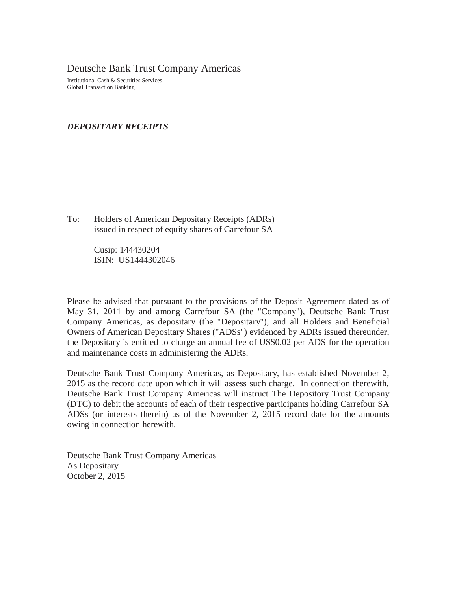Deutsche Bank Trust Company Americas

Institutional Cash & Securities Services Global Transaction Banking

## *DEPOSITARY RECEIPTS*

To: Holders of American Depositary Receipts (ADRs) issued in respect of equity shares of Carrefour SA

> Cusip: 144430204 ISIN: US1444302046

Please be advised that pursuant to the provisions of the Deposit Agreement dated as of May 31, 2011 by and among Carrefour SA (the "Company"), Deutsche Bank Trust Company Americas, as depositary (the "Depositary"), and all Holders and Beneficial Owners of American Depositary Shares ("ADSs") evidenced by ADRs issued thereunder, the Depositary is entitled to charge an annual fee of US\$0.02 per ADS for the operation and maintenance costs in administering the ADRs.

Deutsche Bank Trust Company Americas, as Depositary, has established November 2, 2015 as the record date upon which it will assess such charge. In connection therewith, Deutsche Bank Trust Company Americas will instruct The Depository Trust Company (DTC) to debit the accounts of each of their respective participants holding Carrefour SA ADSs (or interests therein) as of the November 2, 2015 record date for the amounts owing in connection herewith.

Deutsche Bank Trust Company Americas As Depositary October 2, 2015